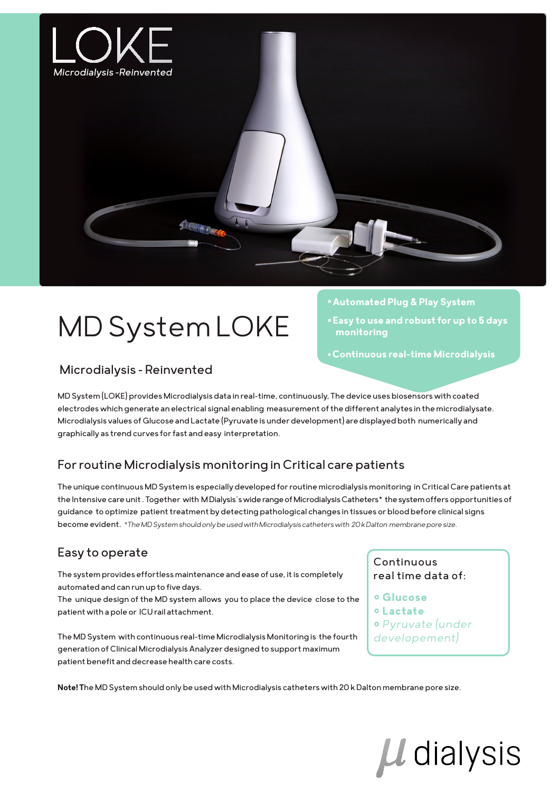

# MD System LOKE

### Microdialysis - Reinvented

MD System (LOKE) provides Microdialysis data in real-time, continuously, The device uses biosensors with coated electrodes which generate an electrical signal enabling measurement of the different analytes in the microdialysate. Microdialysis values of Glucose and Lactate (Pyruvate is under development) are displayed both numerically and graphically as trend curves for fast and easy interpretation.

# For routine Microdialysis monitoring in Critical care patients

The unique continuous MD System is especially developed for routine microdialysis monitoring in Critical Care patients at the Intensive care unit . Together with M Dialysis´s wide range of Microdialysis Catheters\* the system offers opportunities of guidance to optimize patient treatment by detecting pathological changes in tissues or blood before clinical signs become evident. *\*The MD System should only be used with Microdialysis catheters with 20 k Dalton membrane pore size.*

# Easy to operate

The system provides effortless maintenance and ease of use, it is completely automated and can run up to five days.

The unique design of the MD system allows you to place the device close to the patient with a pole or ICU rail attachment.

The MD System with continuous real-time Microdialysis Monitoring is the fourth generation of Clinical Microdialysis Analyzer designed to support maximum patient benefit and decrease health care costs.

#### Continuous real time data of:

° **Glucose**

**° Automated Plug & Play System**

 **monitoring**

**° Easy to use and robust for up to 5 days** 

**° Continuous real-time Microdialysis**

- ° **Lactate**
- ° *Pyruvate (under*
- *developement)*

**Note! T**he MD System should only be used with Microdialysis catheters with 20 k Dalton membrane pore size.

# Ll dialysis